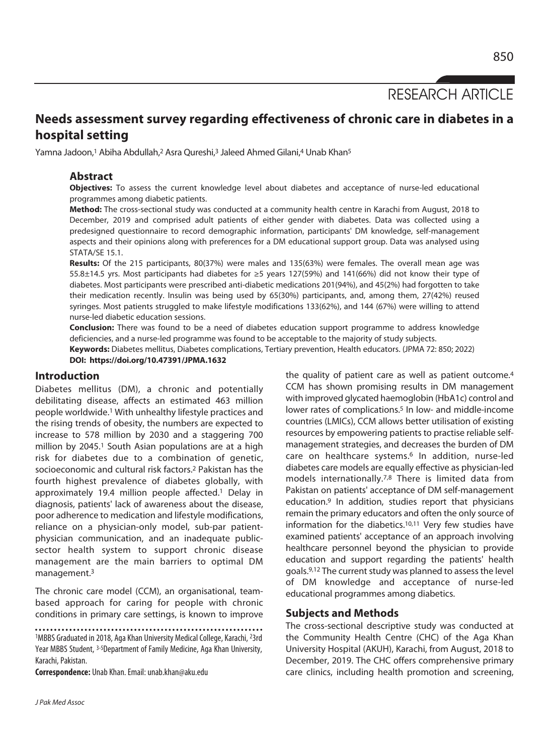RESEARCH ARTICLE

# **Needs assessment survey regarding effectiveness of chronic care in diabetes in a hospital setting**

Yamna Jadoon,<sup>1</sup> Abiha Abdullah,<sup>2</sup> Asra Qureshi,<sup>3</sup> Jaleed Ahmed Gilani,<sup>4</sup> Unab Khan<sup>5</sup>

# **Abstract**

**Objectives:** To assess the current knowledge level about diabetes and acceptance of nurse-led educational programmes among diabetic patients.

**Method:** The cross-sectional study was conducted at a community health centre in Karachi from August, 2018 to December, 2019 and comprised adult patients of either gender with diabetes. Data was collected using a predesigned questionnaire to record demographic information, participants' DM knowledge, self-management aspects and their opinions along with preferences for a DM educational support group. Data was analysed using STATA/SE 15.1.

**Results:** Of the 215 participants, 80(37%) were males and 135(63%) were females. The overall mean age was 55.8±14.5 yrs. Most participants had diabetes for ≥5 years 127(59%) and 141(66%) did not know their type of diabetes. Most participants were prescribed anti-diabetic medications 201(94%), and 45(2%) had forgotten to take their medication recently. Insulin was being used by 65(30%) participants, and, among them, 27(42%) reused syringes. Most patients struggled to make lifestyle modifications 133(62%), and 144 (67%) were willing to attend nurse-led diabetic education sessions.

**Conclusion:** There was found to be a need of diabetes education support programme to address knowledge deficiencies, and a nurse-led programme was found to be acceptable to the majority of study subjects.

**Keywords:** Diabetes mellitus, Diabetes complications, Tertiary prevention, Health educators. (JPMA 72: 850; 2022) **DOI: https://doi.org/10.47391/JPMA.1632** 

## **Introduction**

Diabetes mellitus (DM), a chronic and potentially debilitating disease, affects an estimated 463 million people worldwide.1 With unhealthy lifestyle practices and the rising trends of obesity, the numbers are expected to increase to 578 million by 2030 and a staggering 700 million by 2045.1 South Asian populations are at a high risk for diabetes due to a combination of genetic, socioeconomic and cultural risk factors.2 Pakistan has the fourth highest prevalence of diabetes globally, with approximately 19.4 million people affected.<sup>1</sup> Delay in diagnosis, patients' lack of awareness about the disease, poor adherence to medication and lifestyle modifications, reliance on a physician-only model, sub-par patientphysician communication, and an inadequate publicsector health system to support chronic disease management are the main barriers to optimal DM management.3

The chronic care model (CCM), an organisational, teambased approach for caring for people with chronic conditions in primary care settings, is known to improve

1MBBS Graduated in 2018, Aga Khan University Medical College, Karachi, 23rd Year MBBS Student, 3-5Department of Family Medicine, Aga Khan University, Karachi, Pakistan.

**Correspondence:** Unab Khan. Email: unab.khan@aku.edu

the quality of patient care as well as patient outcome.4 CCM has shown promising results in DM management with improved glycated haemoglobin (HbA1c) control and lower rates of complications.<sup>5</sup> In low- and middle-income countries (LMICs), CCM allows better utilisation of existing resources by empowering patients to practise reliable selfmanagement strategies, and decreases the burden of DM care on healthcare systems.<sup>6</sup> In addition, nurse-led diabetes care models are equally effective as physician-led models internationally.7,8 There is limited data from Pakistan on patients' acceptance of DM self-management education.9 In addition, studies report that physicians remain the primary educators and often the only source of information for the diabetics.10,11 Very few studies have examined patients' acceptance of an approach involving healthcare personnel beyond the physician to provide education and support regarding the patients' health goals.9,12 The current study was planned to assess the level of DM knowledge and acceptance of nurse-led educational programmes among diabetics.

# **Subjects and Methods**

The cross-sectional descriptive study was conducted at the Community Health Centre (CHC) of the Aga Khan University Hospital (AKUH), Karachi, from August, 2018 to December, 2019. The CHC offers comprehensive primary care clinics, including health promotion and screening,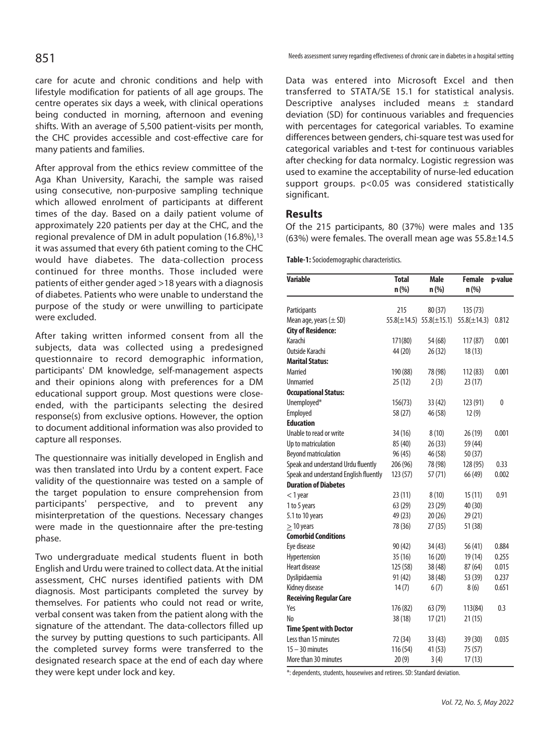care for acute and chronic conditions and help with lifestyle modification for patients of all age groups. The centre operates six days a week, with clinical operations being conducted in morning, afternoon and evening shifts. With an average of 5,500 patient-visits per month, the CHC provides accessible and cost-effective care for many patients and families.

After approval from the ethics review committee of the Aga Khan University, Karachi, the sample was raised using consecutive, non-purposive sampling technique which allowed enrolment of participants at different times of the day. Based on a daily patient volume of approximately 220 patients per day at the CHC, and the regional prevalence of DM in adult population (16.8%),<sup>13</sup> it was assumed that every 6th patient coming to the CHC would have diabetes. The data-collection process continued for three months. Those included were patients of either gender aged >18 years with a diagnosis of diabetes. Patients who were unable to understand the purpose of the study or were unwilling to participate were excluded.

After taking written informed consent from all the subjects, data was collected using a predesigned questionnaire to record demographic information, participants' DM knowledge, self-management aspects and their opinions along with preferences for a DM educational support group. Most questions were closeended, with the participants selecting the desired response(s) from exclusive options. However, the option to document additional information was also provided to capture all responses.

The questionnaire was initially developed in English and was then translated into Urdu by a content expert. Face validity of the questionnaire was tested on a sample of the target population to ensure comprehension from participants' perspective, and to prevent any misinterpretation of the questions. Necessary changes were made in the questionnaire after the pre-testing phase.

Two undergraduate medical students fluent in both English and Urdu were trained to collect data. At the initial assessment, CHC nurses identified patients with DM diagnosis. Most participants completed the survey by themselves. For patients who could not read or write, verbal consent was taken from the patient along with the signature of the attendant. The data-collectors filled up the survey by putting questions to such participants. All the completed survey forms were transferred to the designated research space at the end of each day where they were kept under lock and key.

Data was entered into Microsoft Excel and then transferred to STATA/SE 15.1 for statistical analysis. Descriptive analyses included means ± standard deviation (SD) for continuous variables and frequencies with percentages for categorical variables. To examine differences between genders, chi-square test was used for categorical variables and t-test for continuous variables after checking for data normalcy. Logistic regression was used to examine the acceptability of nurse-led education support groups. p<0.05 was considered statistically significant.

### **Results**

Of the 215 participants, 80 (37%) were males and 135 (63%) were females. The overall mean age was 55.8±14.5

**Table-1:** Sociodemographic characteristics.

| <b>Variable</b>                       | <b>Total</b>     | <b>Male</b>      | <b>Female</b>    | p-value |
|---------------------------------------|------------------|------------------|------------------|---------|
|                                       | n (%)            | n (%)            | n (%)            |         |
| Participants                          | 215              | 80 (37)          | 135(73)          |         |
| Mean age, years $(\pm$ SD)            | $55.8(\pm 14.5)$ | $55.8(\pm 15.1)$ | $55.8(\pm 14.3)$ | 0.812   |
| <b>City of Residence:</b>             |                  |                  |                  |         |
| Karachi                               | 171(80)          | 54 (68)          | 117(87)          | 0.001   |
| Outside Karachi                       | 44 (20)          | 26(32)           | 18(13)           |         |
| <b>Marital Status:</b>                |                  |                  |                  |         |
| Married                               | 190 (88)         | 78 (98)          | 112 (83)         | 0.001   |
| <b>Unmarried</b>                      | 25(12)           | 2(3)             | 23 (17)          |         |
| <b>Occupational Status:</b>           |                  |                  |                  |         |
| Unemployed*                           | 156(73)          | 33 (42)          | 123 (91)         | 0       |
| Employed                              | 58 (27)          | 46 (58)          | 12(9)            |         |
| <b>Education</b>                      |                  |                  |                  |         |
| Unable to read or write               | 34 (16)          | 8(10)            | 26 (19)          | 0.001   |
| Up to matriculation                   | 85 (40)          | 26(33)           | 59 (44)          |         |
| Beyond matriculation                  | 96 (45)          | 46 (58)          | 50 (37)          |         |
| Speak and understand Urdu fluently    | 206 (96)         | 78 (98)          | 128 (95)         | 0.33    |
| Speak and understand English fluently | 123(57)          | 57 (71)          | 66 (49)          | 0.002   |
| <b>Duration of Diabetes</b>           |                  |                  |                  |         |
| $<$ 1 year                            | 23 (11)          | 8(10)            | 15(11)           | 0.91    |
| 1 to 5 years                          | 63 (29)          | 23(29)           | 40 (30)          |         |
| 5.1 to 10 years                       | 49 (23)          | 20(26)           | 29 (21)          |         |
| $\geq$ 10 years                       | 78 (36)          | 27(35)           | 51 (38)          |         |
| <b>Comorbid Conditions</b>            |                  |                  |                  |         |
| Eye disease                           | 90 (42)          | 34(43)           | 56(41)           | 0.884   |
| Hypertension                          | 35(16)           | 16(20)           | 19(14)           | 0.255   |
| <b>Heart disease</b>                  | 125 (58)         | 38 (48)          | 87 (64)          | 0.015   |
| Dyslipidaemia                         | 91 (42)          | 38 (48)          | 53 (39)          | 0.237   |
| Kidney disease                        | 14(7)            | 6(7)             | 8(6)             | 0.651   |
| <b>Receiving Regular Care</b>         |                  |                  |                  |         |
| Yes                                   | 176 (82)         | 63 (79)          | 113(84)          | 0.3     |
| No                                    | 38 (18)          | 17(21)           | 21 (15)          |         |
| <b>Time Spent with Doctor</b>         |                  |                  |                  |         |
| Less than 15 minutes                  | 72 (34)          | 33(43)           | 39 (30)          | 0.035   |
| $15 - 30$ minutes                     | 116 (54)         | 41 (53)          | 75 (57)          |         |
| More than 30 minutes                  | 20(9)            | 3(4)             | 17(13)           |         |

\*: dependents, students, housewives and retirees. SD: Standard deviation.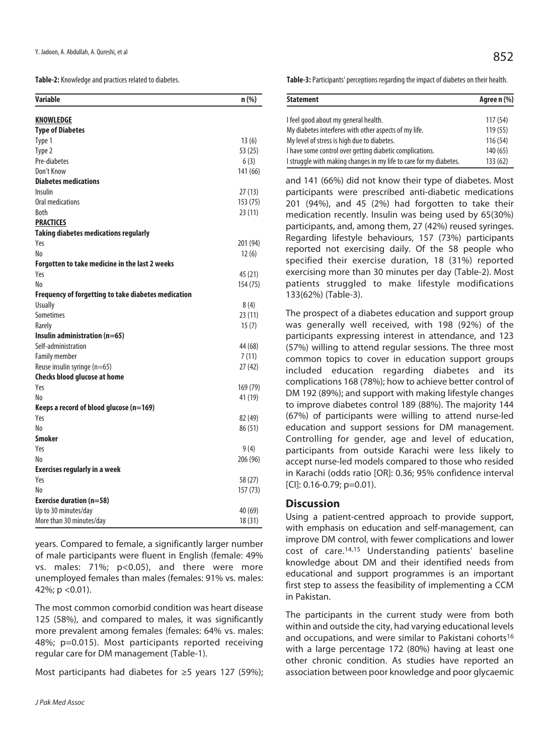**Table-2:** Knowledge and practices related to diabetes.

| <b>Variable</b>                                     | $n$ (%)  |
|-----------------------------------------------------|----------|
| <b>KNOWLEDGE</b>                                    |          |
| <b>Type of Diabetes</b>                             |          |
| Type 1                                              | 13(6)    |
| Type 2                                              | 53 (25)  |
| Pre-diabetes                                        | 6(3)     |
| Don't Know                                          | 141 (66) |
| <b>Diabetes medications</b>                         |          |
| Insulin                                             | 27(13)   |
| Oral medications                                    | 153(75)  |
| <b>Both</b>                                         | 23(11)   |
| <b>PRACTICES</b>                                    |          |
| <b>Taking diabetes medications regularly</b>        |          |
| Yes                                                 | 201 (94) |
| No                                                  | 12(6)    |
| Forgotten to take medicine in the last 2 weeks      |          |
| Yes                                                 | 45 (21)  |
| No                                                  | 154 (75) |
| Frequency of forgetting to take diabetes medication |          |
| <b>Usually</b>                                      | 8(4)     |
| <b>Sometimes</b>                                    | 23(11)   |
| Rarely                                              | 15(7)    |
| Insulin administration (n=65)                       |          |
| Self-administration                                 | 44 (68)  |
| <b>Family member</b>                                | 7(11)    |
| Reuse insulin syringe (n=65)                        | 27(42)   |
| <b>Checks blood glucose at home</b>                 |          |
| Yes                                                 | 169 (79) |
| No                                                  | 41 (19)  |
| Keeps a record of blood glucose (n=169)             |          |
| Yes                                                 | 82 (49)  |
| No                                                  | 86 (51)  |
| <b>Smoker</b>                                       |          |
| Yes                                                 | 9(4)     |
| No                                                  | 206 (96) |
| <b>Exercises regularly in a week</b>                |          |
| Yes                                                 | 58 (27)  |
| No                                                  | 157 (73) |
| <b>Exercise duration (n=58)</b>                     |          |
| Up to 30 minutes/day                                | 40 (69)  |
| More than 30 minutes/day                            | 18 (31)  |

years. Compared to female, a significantly larger number of male participants were fluent in English (female: 49% vs. males: 71%; p<0.05), and there were more unemployed females than males (females: 91% vs. males: 42%;  $p < 0.01$ ).

The most common comorbid condition was heart disease 125 (58%), and compared to males, it was significantly more prevalent among females (females: 64% vs. males: 48%; p=0.015). Most participants reported receiving regular care for DM management (Table-1).

Most participants had diabetes for ≥5 years 127 (59%);

**Table-3:** Participants' perceptions regarding the impact of diabetes on their health.

| <b>Statement</b>                                                   | Agree n (%) |  |
|--------------------------------------------------------------------|-------------|--|
| I feel good about my general health.                               | 117(54)     |  |
| My diabetes interferes with other aspects of my life.              | 119(55)     |  |
| My level of stress is high due to diabetes.                        | 116(54)     |  |
| I have some control over getting diabetic complications.           | 140 (65)    |  |
| I struggle with making changes in my life to care for my diabetes. | 133(62)     |  |

and 141 (66%) did not know their type of diabetes. Most participants were prescribed anti-diabetic medications 201 (94%), and 45 (2%) had forgotten to take their medication recently. Insulin was being used by 65(30%) participants, and, among them, 27 (42%) reused syringes. Regarding lifestyle behaviours, 157 (73%) participants reported not exercising daily. Of the 58 people who specified their exercise duration, 18 (31%) reported exercising more than 30 minutes per day (Table-2). Most patients struggled to make lifestyle modifications 133(62%) (Table-3).

The prospect of a diabetes education and support group was generally well received, with 198 (92%) of the participants expressing interest in attendance, and 123 (57%) willing to attend regular sessions. The three most common topics to cover in education support groups included education regarding diabetes and its complications 168 (78%); how to achieve better control of DM 192 (89%); and support with making lifestyle changes to improve diabetes control 189 (88%). The majority 144 (67%) of participants were willing to attend nurse-led education and support sessions for DM management. Controlling for gender, age and level of education, participants from outside Karachi were less likely to accept nurse-led models compared to those who resided in Karachi (odds ratio [OR]: 0.36; 95% confidence interval  $[C]$ : 0.16-0.79; p=0.01).

# **Discussion**

Using a patient-centred approach to provide support, with emphasis on education and self-management, can improve DM control, with fewer complications and lower cost of care.14,15 Understanding patients' baseline knowledge about DM and their identified needs from educational and support programmes is an important first step to assess the feasibility of implementing a CCM in Pakistan.

The participants in the current study were from both within and outside the city, had varying educational levels and occupations, and were similar to Pakistani cohorts<sup>16</sup> with a large percentage 172 (80%) having at least one other chronic condition. As studies have reported an association between poor knowledge and poor glycaemic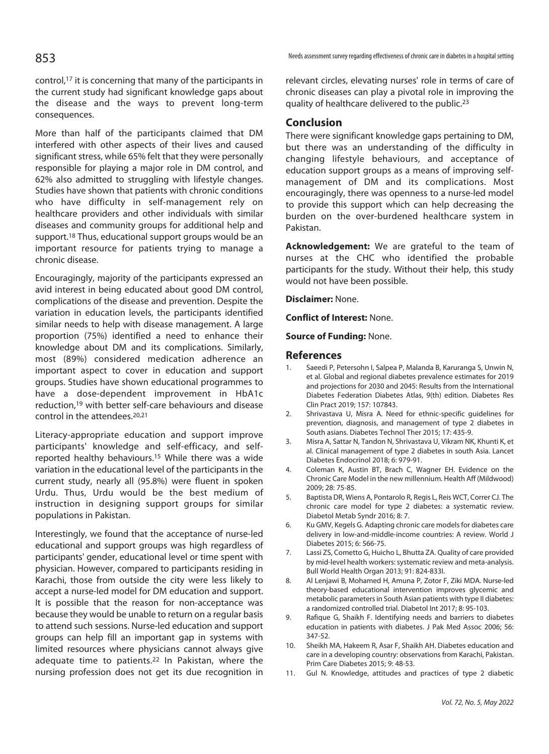#### control,17 it is concerning that many of the participants in the current study had significant knowledge gaps about the disease and the ways to prevent long-term consequences.

More than half of the participants claimed that DM interfered with other aspects of their lives and caused significant stress, while 65% felt that they were personally responsible for playing a major role in DM control, and 62% also admitted to struggling with lifestyle changes. Studies have shown that patients with chronic conditions who have difficulty in self-management rely on healthcare providers and other individuals with similar diseases and community groups for additional help and support.18 Thus, educational support groups would be an important resource for patients trying to manage a chronic disease.

Encouragingly, majority of the participants expressed an avid interest in being educated about good DM control, complications of the disease and prevention. Despite the variation in education levels, the participants identified similar needs to help with disease management. A large proportion (75%) identified a need to enhance their knowledge about DM and its complications. Similarly, most (89%) considered medication adherence an important aspect to cover in education and support groups. Studies have shown educational programmes to have a dose-dependent improvement in HbA1c reduction,19 with better self-care behaviours and disease control in the attendees.<sup>20,21</sup>

Literacy-appropriate education and support improve participants' knowledge and self-efficacy, and selfreported healthy behaviours.15 While there was a wide variation in the educational level of the participants in the current study, nearly all (95.8%) were fluent in spoken Urdu. Thus, Urdu would be the best medium of instruction in designing support groups for similar populations in Pakistan.

Interestingly, we found that the acceptance of nurse-led educational and support groups was high regardless of participants' gender, educational level or time spent with physician. However, compared to participants residing in Karachi, those from outside the city were less likely to accept a nurse-led model for DM education and support. It is possible that the reason for non-acceptance was because they would be unable to return on a regular basis to attend such sessions. Nurse-led education and support groups can help fill an important gap in systems with limited resources where physicians cannot always give adequate time to patients.22 In Pakistan, where the nursing profession does not get its due recognition in

Needs assessment survey regarding effectiveness of chronic care in diabetes in a hospital setting 853

relevant circles, elevating nurses' role in terms of care of chronic diseases can play a pivotal role in improving the quality of healthcare delivered to the public.23

#### **Conclusion**

There were significant knowledge gaps pertaining to DM, but there was an understanding of the difficulty in changing lifestyle behaviours, and acceptance of education support groups as a means of improving selfmanagement of DM and its complications. Most encouragingly, there was openness to a nurse-led model to provide this support which can help decreasing the burden on the over-burdened healthcare system in Pakistan.

**Acknowledgement:** We are grateful to the team of nurses at the CHC who identified the probable participants for the study. Without their help, this study would not have been possible.

**Disclaimer:** None.

**Conflict of Interest:** None.

**Source of Funding:** None.

#### **References**

- 1. Saeedi P, Petersohn I, Salpea P, Malanda B, Karuranga S, Unwin N, et al. Global and regional diabetes prevalence estimates for 2019 and projections for 2030 and 2045: Results from the International Diabetes Federation Diabetes Atlas, 9(th) edition. Diabetes Res Clin Pract 2019; 157: 107843.
- 2. Shrivastava U, Misra A. Need for ethnic-specific guidelines for prevention, diagnosis, and management of type 2 diabetes in South asians. Diabetes Technol Ther 2015; 17: 435-9.
- 3. Misra A, Sattar N, Tandon N, Shrivastava U, Vikram NK, Khunti K, et al. Clinical management of type 2 diabetes in south Asia. Lancet Diabetes Endocrinol 2018; 6: 979-91.
- 4. Coleman K, Austin BT, Brach C, Wagner EH. Evidence on the Chronic Care Model in the new millennium. Health Aff (Mildwood) 2009; 28: 75-85.
- 5. Baptista DR, Wiens A, Pontarolo R, Regis L, Reis WCT, Correr CJ. The chronic care model for type 2 diabetes: a systematic review. Diabetol Metab Syndr 2016; 8: 7.
- 6. Ku GMV, Kegels G. Adapting chronic care models for diabetes care delivery in low-and-middle-income countries: A review. World J Diabetes 2015; 6: 566-75.
- 7. Lassi ZS, Cometto G, Huicho L, Bhutta ZA. Quality of care provided by mid-level health workers: systematic review and meta-analysis. Bull World Health Organ 2013; 91: 824-833I.
- 8. Al Lenjawi B, Mohamed H, Amuna P, Zotor F, Ziki MDA. Nurse-led theory-based educational intervention improves glycemic and metabolic parameters in South Asian patients with type II diabetes: a randomized controlled trial. Diabetol Int 2017; 8: 95-103.
- 9. Rafique G, Shaikh F. Identifying needs and barriers to diabetes education in patients with diabetes. J Pak Med Assoc 2006; 56: 347-52.
- 10. Sheikh MA, Hakeem R, Asar F, Shaikh AH. Diabetes education and care in a developing country: observations from Karachi, Pakistan. Prim Care Diabetes 2015; 9: 48-53.
- 11. Gul N. Knowledge, attitudes and practices of type 2 diabetic